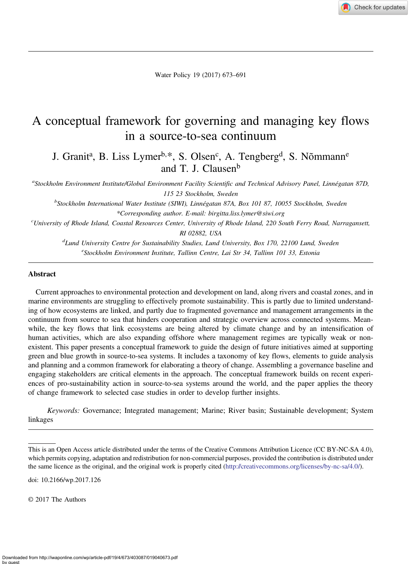

Water Policy 19 (2017) 673–691

# A conceptual framework for governing and managing key flows in a source-to-sea continuum

J. Granit<sup>a</sup>, B. Liss Lymer<sup>b,\*</sup>, S. Olsen<sup>c</sup>, A. Tengberg<sup>d</sup>, S. Nõmmann<sup>e</sup> and T. J. Clausen<sup>b</sup>

a<br>Stockholm Environment Institute/Global Environment Facility Scientific and Technical Advisory Panel, Linnégatan 87D, 115 23 Stockholm, Sweden

<sup>b</sup>Stockholm International Water Institute (SIWI), Linnégatan 87A, Box 101 87, 10055 Stockholm, Sweden \*Corresponding author. E-mail: [birgitta.liss.lymer@siwi.org](mailto:birgitta.liss.lymer@siwi.org)

<sup>c</sup>University of Rhode Island, Coastal Resources Center, University of Rhode Island, 220 South Ferry Road, Narragansett, RI 02882, USA

<sup>d</sup>Lund University Centre for Sustainability Studies, Lund University, Box 170, 22100 Lund, Sweden e Stockholm Environment Institute, Tallinn Centre, Lai Str 34, Tallinn 101 33, Estonia

#### Abstract

Current approaches to environmental protection and development on land, along rivers and coastal zones, and in marine environments are struggling to effectively promote sustainability. This is partly due to limited understanding of how ecosystems are linked, and partly due to fragmented governance and management arrangements in the continuum from source to sea that hinders cooperation and strategic overview across connected systems. Meanwhile, the key flows that link ecosystems are being altered by climate change and by an intensification of human activities, which are also expanding offshore where management regimes are typically weak or nonexistent. This paper presents a conceptual framework to guide the design of future initiatives aimed at supporting green and blue growth in source-to-sea systems. It includes a taxonomy of key flows, elements to guide analysis and planning and a common framework for elaborating a theory of change. Assembling a governance baseline and engaging stakeholders are critical elements in the approach. The conceptual framework builds on recent experiences of pro-sustainability action in source-to-sea systems around the world, and the paper applies the theory of change framework to selected case studies in order to develop further insights.

Keywords: Governance; Integrated management; Marine; River basin; Sustainable development; System linkages

doi: 10.2166/wp.2017.126

© 2017 The Authors

This is an Open Access article distributed under the terms of the Creative Commons Attribution Licence (CC BY-NC-SA 4.0), which permits copying, adaptation and redistribution for non-commercial purposes, provided the contribution is distributed under the same licence as the original, and the original work is properly cited (<http://creativecommons.org/licenses/by-nc-sa/4.0/>).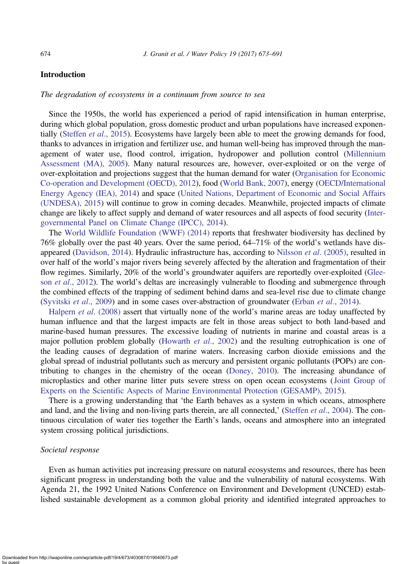## Introduction

#### The degradation of ecosystems in a continuum from source to sea

Since the 1950s, the world has experienced a period of rapid intensification in human enterprise, during which global population, gross domestic product and urban populations have increased exponentially [\(Steffen](#page-17-0) et al., 2015). Ecosystems have largely been able to meet the growing demands for food, thanks to advances in irrigation and fertilizer use, and human well-being has improved through the management of water use, flood control, irrigation, hydropower and pollution control ([Millennium](#page-17-0) [Assessment \(MA\), 2005](#page-17-0)). Many natural resources are, however, over-exploited or on the verge of over-exploitation and projections suggest that the human demand for water [\(Organisation for Economic](#page-17-0) [Co-operation and Development \(OECD\), 2012\)](#page-17-0), food [\(World Bank, 2007](#page-18-0)), energy [\(OECD/International](#page-17-0) [Energy Agency \(IEA\), 2014\)](#page-17-0) and space [\(United Nations, Department of Economic and Social Affairs](#page-18-0) [\(UNDESA\), 2015\)](#page-18-0) will continue to grow in coming decades. Meanwhile, projected impacts of climate change are likely to affect supply and demand of water resources and all aspects of food security [\(Inter](#page-17-0)[governmental Panel on Climate Change \(IPCC\), 2014\)](#page-17-0).

The [World Wildlife Foundation \(WWF\) \(2014\)](#page-18-0) reports that freshwater biodiversity has declined by 76% globally over the past 40 years. Over the same period, 64–71% of the world's wetlands have dis-appeared [\(Davidson, 2014\)](#page-16-0). Hydraulic infrastructure has, according to Nilsson et al[. \(2005\)](#page-17-0), resulted in over half of the world's major rivers being severely affected by the alteration and fragmentation of their flow regimes. Similarly, 20% of the world's groundwater aquifers are reportedly over-exploited [\(Glee-](#page-16-0)son et al[., 2012\)](#page-16-0). The world's deltas are increasingly vulnerable to flooding and submergence through the combined effects of the trapping of sediment behind dams and sea-level rise due to climate change ([Syvitski](#page-18-0) et al., 2009) and in some cases over-abstraction of groundwater (Erban et al[., 2014\)](#page-16-0).

Halpern et al[. \(2008\)](#page-16-0) assert that virtually none of the world's marine areas are today unaffected by human influence and that the largest impacts are felt in those areas subject to both land-based and marine-based human pressures. The excessive loading of nutrients in marine and coastal areas is a major pollution problem globally ([Howarth](#page-16-0) et al., 2002) and the resulting eutrophication is one of the leading causes of degradation of marine waters. Increasing carbon dioxide emissions and the global spread of industrial pollutants such as mercury and persistent organic pollutants (POPs) are contributing to changes in the chemistry of the ocean [\(Doney, 2010\)](#page-16-0). The increasing abundance of microplastics and other marine litter puts severe stress on open ocean ecosystems ([Joint Group of](#page-16-0) [Experts on the Scientific Aspects of Marine Environmental Protection \(GESAMP\), 2015](#page-16-0)).

There is a growing understanding that 'the Earth behaves as a system in which oceans, atmosphere and land, and the living and non-living parts therein, are all connected,' [\(Steffen](#page-17-0) et al., 2004). The continuous circulation of water ties together the Earth's lands, oceans and atmosphere into an integrated system crossing political jurisdictions.

## Societal response

Even as human activities put increasing pressure on natural ecosystems and resources, there has been significant progress in understanding both the value and the vulnerability of natural ecosystems. With Agenda 21, the 1992 United Nations Conference on Environment and Development (UNCED) established sustainable development as a common global priority and identified integrated approaches to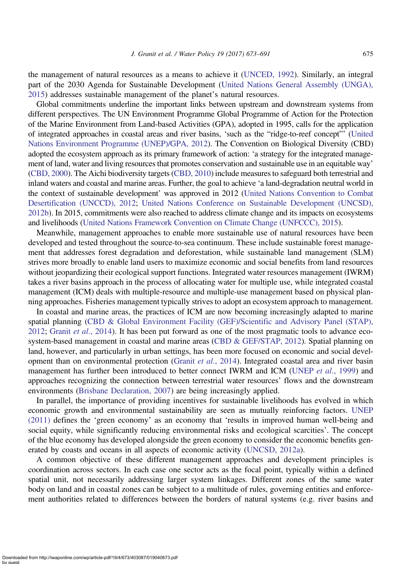the management of natural resources as a means to achieve it ([UNCED, 1992\)](#page-18-0). Similarly, an integral part of the 2030 Agenda for Sustainable Development [\(United Nations General Assembly \(UNGA\),](#page-18-0) [2015](#page-18-0)) addresses sustainable management of the planet's natural resources.

Global commitments underline the important links between upstream and downstream systems from different perspectives. The UN Environment Programme Global Programme of Action for the Protection of the Marine Environment from Land-based Activities (GPA), adopted in 1995, calls for the application of integrated approaches in coastal areas and river basins, 'such as the "ridge-to-reef concept"' ([United](#page-18-0) [Nations Environment Programme \(UNEP\)/GPA, 2012](#page-18-0)). The Convention on Biological Diversity (CBD) adopted the ecosystem approach as its primary framework of action: 'a strategy for the integrated management of land, water and living resources that promotes conservation and sustainable use in an equitable way' [\(CBD, 2000](#page-16-0)). The Aichi biodiversity targets ([CBD, 2010](#page-16-0)) include measures to safeguard both terrestrial and inland waters and coastal and marine areas. Further, the goal to achieve 'a land-degradation neutral world in the context of sustainable development' was approved in 2012 [\(United Nations Convention to Combat](#page-18-0) [Desertification \(UNCCD\), 2012;](#page-18-0) [United Nations Conference on Sustainable Development \(UNCSD\),](#page-18-0) [2012b\)](#page-18-0). In 2015, commitments were also reached to address climate change and its impacts on ecosystems and livelihoods [\(United Nations Framework Convention on Climate Change \(UNFCCC\), 2015\)](#page-18-0).

Meanwhile, management approaches to enable more sustainable use of natural resources have been developed and tested throughout the source-to-sea continuum. These include sustainable forest management that addresses forest degradation and deforestation, while sustainable land management (SLM) strives more broadly to enable land users to maximize economic and social benefits from land resources without jeopardizing their ecological support functions. Integrated water resources management (IWRM) takes a river basins approach in the process of allocating water for multiple use, while integrated coastal management (ICM) deals with multiple-resource and multiple-use management based on physical planning approaches. Fisheries management typically strives to adopt an ecosystem approach to management.

In coastal and marine areas, the practices of ICM are now becoming increasingly adapted to marine spatial planning [\(CBD & Global Environment Facility \(GEF\)/Scientific and Advisory Panel \(STAP\),](#page-16-0) [2012](#page-16-0); Granit et al[., 2014](#page-16-0)). It has been put forward as one of the most pragmatic tools to advance ecosystem-based management in coastal and marine areas ([CBD & GEF/STAP, 2012\)](#page-16-0). Spatial planning on land, however, and particularly in urban settings, has been more focused on economic and social development than on environmental protection (Granit et al[., 2014](#page-16-0)). Integrated coastal area and river basin management has further been introduced to better connect IWRM and ICM (UNEP et al[., 1999\)](#page-18-0) and approaches recognizing the connection between terrestrial water resources' flows and the downstream environments [\(Brisbane Declaration, 2007\)](#page-15-0) are being increasingly applied.

In parallel, the importance of providing incentives for sustainable livelihoods has evolved in which economic growth and environmental sustainability are seen as mutually reinforcing factors. [UNEP](#page-18-0) [\(2011\)](#page-18-0) defines the 'green economy' as an economy that 'results in improved human well-being and social equity, while significantly reducing environmental risks and ecological scarcities'. The concept of the blue economy has developed alongside the green economy to consider the economic benefits generated by coasts and oceans in all aspects of economic activity ([UNCSD, 2012a\)](#page-18-0).

A common objective of these different management approaches and development principles is coordination across sectors. In each case one sector acts as the focal point, typically within a defined spatial unit, not necessarily addressing larger system linkages. Different zones of the same water body on land and in coastal zones can be subject to a multitude of rules, governing entities and enforcement authorities related to differences between the borders of natural systems (e.g. river basins and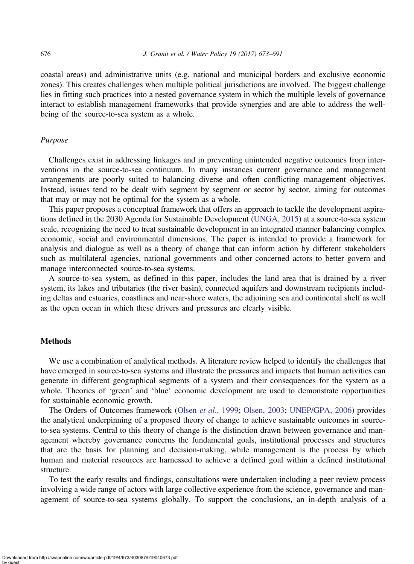coastal areas) and administrative units (e.g. national and municipal borders and exclusive economic zones). This creates challenges when multiple political jurisdictions are involved. The biggest challenge lies in fitting such practices into a nested governance system in which the multiple levels of governance interact to establish management frameworks that provide synergies and are able to address the wellbeing of the source-to-sea system as a whole.

#### Purpose

Challenges exist in addressing linkages and in preventing unintended negative outcomes from interventions in the source-to-sea continuum. In many instances current governance and management arrangements are poorly suited to balancing diverse and often conflicting management objectives. Instead, issues tend to be dealt with segment by segment or sector by sector, aiming for outcomes that may or may not be optimal for the system as a whole.

This paper proposes a conceptual framework that offers an approach to tackle the development aspirations defined in the 2030 Agenda for Sustainable Development ([UNGA, 2015\)](#page-18-0) at a source-to-sea system scale, recognizing the need to treat sustainable development in an integrated manner balancing complex economic, social and environmental dimensions. The paper is intended to provide a framework for analysis and dialogue as well as a theory of change that can inform action by different stakeholders such as multilateral agencies, national governments and other concerned actors to better govern and manage interconnected source-to-sea systems.

A source-to-sea system, as defined in this paper, includes the land area that is drained by a river system, its lakes and tributaries (the river basin), connected aquifers and downstream recipients including deltas and estuaries, coastlines and near-shore waters, the adjoining sea and continental shelf as well as the open ocean in which these drivers and pressures are clearly visible.

## Methods

We use a combination of analytical methods. A literature review helped to identify the challenges that have emerged in source-to-sea systems and illustrate the pressures and impacts that human activities can generate in different geographical segments of a system and their consequences for the system as a whole. Theories of 'green' and 'blue' economic development are used to demonstrate opportunities for sustainable economic growth.

The Orders of Outcomes framework (Olsen et al[., 1999;](#page-17-0) [Olsen, 2003](#page-17-0); [UNEP/GPA, 2006\)](#page-18-0) provides the analytical underpinning of a proposed theory of change to achieve sustainable outcomes in sourceto-sea systems. Central to this theory of change is the distinction drawn between governance and management whereby governance concerns the fundamental goals, institutional processes and structures that are the basis for planning and decision-making, while management is the process by which human and material resources are harnessed to achieve a defined goal within a defined institutional structure.

To test the early results and findings, consultations were undertaken including a peer review process involving a wide range of actors with large collective experience from the science, governance and management of source-to-sea systems globally. To support the conclusions, an in-depth analysis of a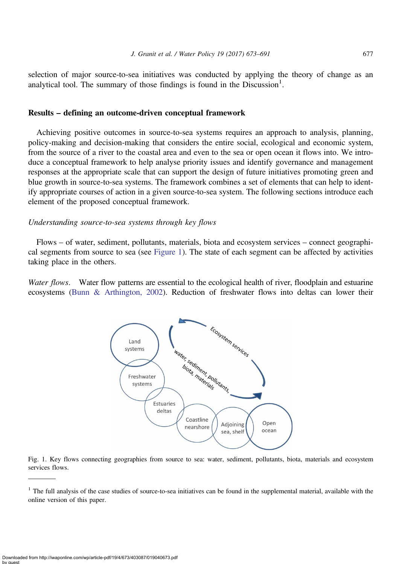selection of major source-to-sea initiatives was conducted by applying the theory of change as an analytical tool. The summary of those findings is found in the Discussion<sup>1</sup>.

#### Results – defining an outcome-driven conceptual framework

Achieving positive outcomes in source-to-sea systems requires an approach to analysis, planning, policy-making and decision-making that considers the entire social, ecological and economic system, from the source of a river to the coastal area and even to the sea or open ocean it flows into. We introduce a conceptual framework to help analyse priority issues and identify governance and management responses at the appropriate scale that can support the design of future initiatives promoting green and blue growth in source-to-sea systems. The framework combines a set of elements that can help to identify appropriate courses of action in a given source-to-sea system. The following sections introduce each element of the proposed conceptual framework.

## Understanding source-to-sea systems through key flows

Flows – of water, sediment, pollutants, materials, biota and ecosystem services – connect geographical segments from source to sea (see Figure 1). The state of each segment can be affected by activities taking place in the others.

Water flows. Water flow patterns are essential to the ecological health of river, floodplain and estuarine ecosystems [\(Bunn & Arthington, 2002](#page-16-0)). Reduction of freshwater flows into deltas can lower their



Fig. 1. Key flows connecting geographies from source to sea: water, sediment, pollutants, biota, materials and ecosystem services flows.

<sup>&</sup>lt;sup>1</sup> The full analysis of the case studies of source-to-sea initiatives can be found in the supplemental material, available with the online version of this paper.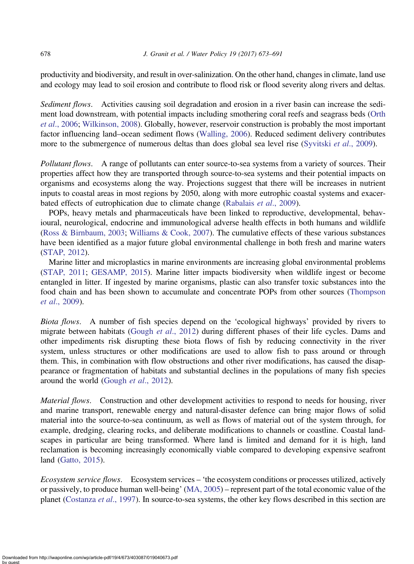productivity and biodiversity, and result in over-salinization. On the other hand, changes in climate, land use and ecology may lead to soil erosion and contribute to flood risk or flood severity along rivers and deltas.

Sediment flows. Activities causing soil degradation and erosion in a river basin can increase the sediment load downstream, with potential impacts including smothering coral reefs and seagrass beds [\(Orth](#page-17-0) et al[., 2006;](#page-17-0) [Wilkinson, 2008](#page-18-0)). Globally, however, reservoir construction is probably the most important factor influencing land–ocean sediment flows [\(Walling, 2006](#page-18-0)). Reduced sediment delivery contributes more to the submergence of numerous deltas than does global sea level rise ([Syvitski](#page-18-0) et al., 2009).

Pollutant flows. A range of pollutants can enter source-to-sea systems from a variety of sources. Their properties affect how they are transported through source-to-sea systems and their potential impacts on organisms and ecosystems along the way. Projections suggest that there will be increases in nutrient inputs to coastal areas in most regions by 2050, along with more eutrophic coastal systems and exacer-bated effects of eutrophication due to climate change [\(Rabalais](#page-17-0) et al., 2009).

POPs, heavy metals and pharmaceuticals have been linked to reproductive, developmental, behavioural, neurological, endocrine and immunological adverse health effects in both humans and wildlife ([Ross & Birnbaum, 2003](#page-17-0); [Williams & Cook, 2007\)](#page-18-0). The cumulative effects of these various substances have been identified as a major future global environmental challenge in both fresh and marine waters ([STAP, 2012](#page-17-0)).

Marine litter and microplastics in marine environments are increasing global environmental problems ([STAP, 2011;](#page-17-0) [GESAMP, 2015](#page-16-0)). Marine litter impacts biodiversity when wildlife ingest or become entangled in litter. If ingested by marine organisms, plastic can also transfer toxic substances into the food chain and has been shown to accumulate and concentrate POPs from other sources [\(Thompson](#page-18-0) et al[., 2009](#page-18-0)).

Biota flows. A number of fish species depend on the 'ecological highways' provided by rivers to migrate between habitats (Gough et al[., 2012\)](#page-16-0) during different phases of their life cycles. Dams and other impediments risk disrupting these biota flows of fish by reducing connectivity in the river system, unless structures or other modifications are used to allow fish to pass around or through them. This, in combination with flow obstructions and other river modifications, has caused the disappearance or fragmentation of habitats and substantial declines in the populations of many fish species around the world (Gough et al[., 2012](#page-16-0)).

Material flows. Construction and other development activities to respond to needs for housing, river and marine transport, renewable energy and natural-disaster defence can bring major flows of solid material into the source-to-sea continuum, as well as flows of material out of the system through, for example, dredging, clearing rocks, and deliberate modifications to channels or coastline. Coastal landscapes in particular are being transformed. Where land is limited and demand for it is high, land reclamation is becoming increasingly economically viable compared to developing expensive seafront land [\(Gatto, 2015\)](#page-16-0).

Ecosystem service flows. Ecosystem services – 'the ecosystem conditions or processes utilized, actively or passively, to produce human well-being' [\(MA, 2005\)](#page-17-0) – represent part of the total economic value of the planet [\(Costanza](#page-16-0) et al., 1997). In source-to-sea systems, the other key flows described in this section are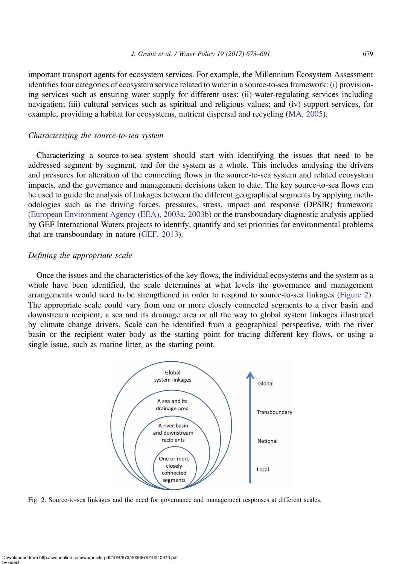important transport agents for ecosystem services. For example, the Millennium Ecosystem Assessment identifies four categories of ecosystem service related to water in a source-to-sea framework: (i) provisioning services such as ensuring water supply for different uses; (ii) water-regulating services including navigation; (iii) cultural services such as spiritual and religious values; and (iv) support services, for example, providing a habitat for ecosystems, nutrient dispersal and recycling [\(MA, 2005\)](#page-17-0).

#### Characterizing the source-to-sea system

Characterizing a source-to-sea system should start with identifying the issues that need to be addressed segment by segment, and for the system as a whole. This includes analysing the drivers and pressures for alteration of the connecting flows in the source-to-sea system and related ecosystem impacts, and the governance and management decisions taken to date. The key source-to-sea flows can be used to guide the analysis of linkages between the different geographical segments by applying methodologies such as the driving forces, pressures, stress, impact and response (DPSIR) framework ([European Environment Agency \(EEA\), 2003a,](#page-16-0) [2003b\)](#page-16-0) or the transboundary diagnostic analysis applied by GEF International Waters projects to identify, quantify and set priorities for environmental problems that are transboundary in nature ([GEF, 2013\)](#page-16-0).

#### Defining the appropriate scale

Once the issues and the characteristics of the key flows, the individual ecosystems and the system as a whole have been identified, the scale determines at what levels the governance and management arrangements would need to be strengthened in order to respond to source-to-sea linkages (Figure 2). The appropriate scale could vary from one or more closely connected segments to a river basin and downstream recipient, a sea and its drainage area or all the way to global system linkages illustrated by climate change drivers. Scale can be identified from a geographical perspective, with the river basin or the recipient water body as the starting point for tracing different key flows, or using a single issue, such as marine litter, as the starting point.



Fig. 2. Source-to-sea linkages and the need for governance and management responses at different scales.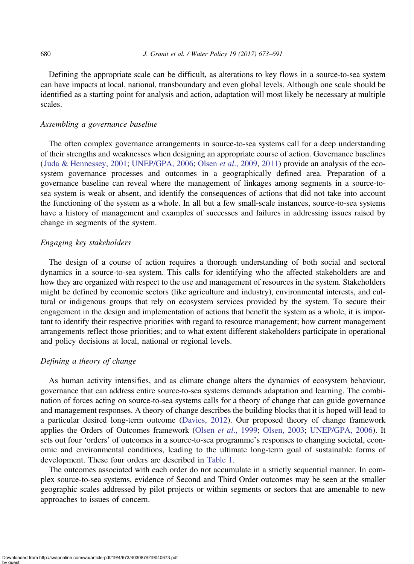Defining the appropriate scale can be difficult, as alterations to key flows in a source-to-sea system can have impacts at local, national, transboundary and even global levels. Although one scale should be identified as a starting point for analysis and action, adaptation will most likely be necessary at multiple scales.

#### Assembling a governance baseline

The often complex governance arrangements in source-to-sea systems call for a deep understanding of their strengths and weaknesses when designing an appropriate course of action. Governance baselines ([Juda & Hennessey, 2001](#page-17-0); [UNEP/GPA, 2006](#page-18-0); Olsen *et al.*, 2009, [2011](#page-17-0)) provide an analysis of the ecosystem governance processes and outcomes in a geographically defined area. Preparation of a governance baseline can reveal where the management of linkages among segments in a source-tosea system is weak or absent, and identify the consequences of actions that did not take into account the functioning of the system as a whole. In all but a few small-scale instances, source-to-sea systems have a history of management and examples of successes and failures in addressing issues raised by change in segments of the system.

#### Engaging key stakeholders

The design of a course of action requires a thorough understanding of both social and sectoral dynamics in a source-to-sea system. This calls for identifying who the affected stakeholders are and how they are organized with respect to the use and management of resources in the system. Stakeholders might be defined by economic sectors (like agriculture and industry), environmental interests, and cultural or indigenous groups that rely on ecosystem services provided by the system. To secure their engagement in the design and implementation of actions that benefit the system as a whole, it is important to identify their respective priorities with regard to resource management; how current management arrangements reflect those priorities; and to what extent different stakeholders participate in operational and policy decisions at local, national or regional levels.

## Defining a theory of change

As human activity intensifies, and as climate change alters the dynamics of ecosystem behaviour, governance that can address entire source-to-sea systems demands adaptation and learning. The combination of forces acting on source-to-sea systems calls for a theory of change that can guide governance and management responses. A theory of change describes the building blocks that it is hoped will lead to a particular desired long-term outcome [\(Davies, 2012](#page-16-0)). Our proposed theory of change framework applies the Orders of Outcomes framework (Olsen et al[., 1999;](#page-17-0) [Olsen, 2003;](#page-17-0) [UNEP/GPA, 2006](#page-18-0)). It sets out four 'orders' of outcomes in a source-to-sea programme's responses to changing societal, economic and environmental conditions, leading to the ultimate long-term goal of sustainable forms of development. These four orders are described in [Table 1](#page-8-0).

The outcomes associated with each order do not accumulate in a strictly sequential manner. In complex source-to-sea systems, evidence of Second and Third Order outcomes may be seen at the smaller geographic scales addressed by pilot projects or within segments or sectors that are amenable to new approaches to issues of concern.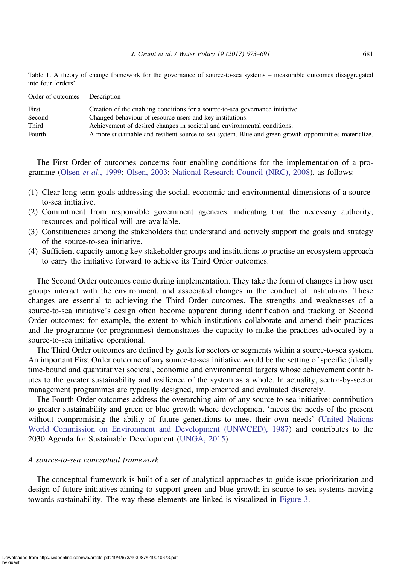| Order of outcomes | Description                                                                                             |
|-------------------|---------------------------------------------------------------------------------------------------------|
| First             | Creation of the enabling conditions for a source-to-sea governance initiative.                          |
| Second            | Changed behaviour of resource users and key institutions.                                               |
| Third             | Achievement of desired changes in societal and environmental conditions.                                |
| Fourth            | A more sustainable and resilient source-to-sea system. Blue and green growth opportunities materialize. |

<span id="page-8-0"></span>Table 1. A theory of change framework for the governance of source-to-sea systems – measurable outcomes disaggregated into four 'orders'.

The First Order of outcomes concerns four enabling conditions for the implementation of a programme (Olsen et al[., 1999;](#page-17-0) [Olsen, 2003](#page-17-0); [National Research Council \(NRC\), 2008\)](#page-17-0), as follows:

- (1) Clear long-term goals addressing the social, economic and environmental dimensions of a sourceto-sea initiative.
- (2) Commitment from responsible government agencies, indicating that the necessary authority, resources and political will are available.
- (3) Constituencies among the stakeholders that understand and actively support the goals and strategy of the source-to-sea initiative.
- (4) Sufficient capacity among key stakeholder groups and institutions to practise an ecosystem approach to carry the initiative forward to achieve its Third Order outcomes.

The Second Order outcomes come during implementation. They take the form of changes in how user groups interact with the environment, and associated changes in the conduct of institutions. These changes are essential to achieving the Third Order outcomes. The strengths and weaknesses of a source-to-sea initiative's design often become apparent during identification and tracking of Second Order outcomes; for example, the extent to which institutions collaborate and amend their practices and the programme (or programmes) demonstrates the capacity to make the practices advocated by a source-to-sea initiative operational.

The Third Order outcomes are defined by goals for sectors or segments within a source-to-sea system. An important First Order outcome of any source-to-sea initiative would be the setting of specific (ideally time-bound and quantitative) societal, economic and environmental targets whose achievement contributes to the greater sustainability and resilience of the system as a whole. In actuality, sector-by-sector management programmes are typically designed, implemented and evaluated discretely.

The Fourth Order outcomes address the overarching aim of any source-to-sea initiative: contribution to greater sustainability and green or blue growth where development 'meets the needs of the present without compromising the ability of future generations to meet their own needs' [\(United Nations](#page-18-0) [World Commission on Environment and Development \(UNWCED\), 1987](#page-18-0)) and contributes to the 2030 Agenda for Sustainable Development [\(UNGA, 2015](#page-18-0)).

#### A source-to-sea conceptual framework

The conceptual framework is built of a set of analytical approaches to guide issue prioritization and design of future initiatives aiming to support green and blue growth in source-to-sea systems moving towards sustainability. The way these elements are linked is visualized in [Figure 3](#page-9-0).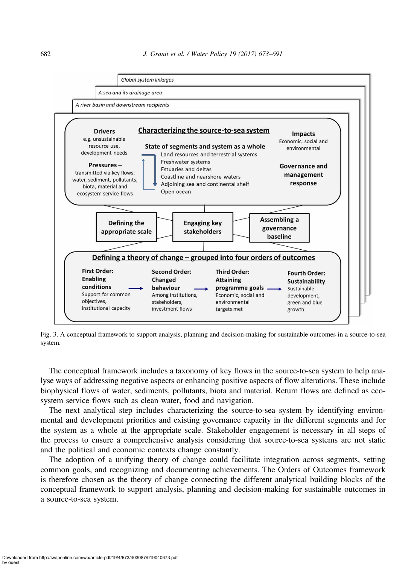<span id="page-9-0"></span>

Fig. 3. A conceptual framework to support analysis, planning and decision-making for sustainable outcomes in a source-to-sea system.

The conceptual framework includes a taxonomy of key flows in the source-to-sea system to help analyse ways of addressing negative aspects or enhancing positive aspects of flow alterations. These include biophysical flows of water, sediments, pollutants, biota and material. Return flows are defined as ecosystem service flows such as clean water, food and navigation.

The next analytical step includes characterizing the source-to-sea system by identifying environmental and development priorities and existing governance capacity in the different segments and for the system as a whole at the appropriate scale. Stakeholder engagement is necessary in all steps of the process to ensure a comprehensive analysis considering that source-to-sea systems are not static and the political and economic contexts change constantly.

The adoption of a unifying theory of change could facilitate integration across segments, setting common goals, and recognizing and documenting achievements. The Orders of Outcomes framework is therefore chosen as the theory of change connecting the different analytical building blocks of the conceptual framework to support analysis, planning and decision-making for sustainable outcomes in a source-to-sea system.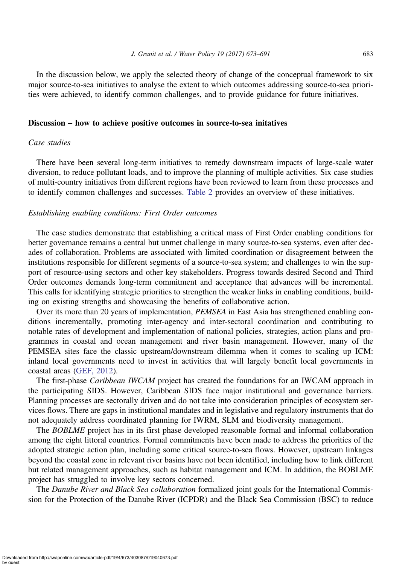In the discussion below, we apply the selected theory of change of the conceptual framework to six major source-to-sea initiatives to analyse the extent to which outcomes addressing source-to-sea priorities were achieved, to identify common challenges, and to provide guidance for future initiatives.

## Discussion – how to achieve positive outcomes in source-to-sea initatives

## Case studies

There have been several long-term initiatives to remedy downstream impacts of large-scale water diversion, to reduce pollutant loads, and to improve the planning of multiple activities. Six case studies of multi-country initiatives from different regions have been reviewed to learn from these processes and to identify common challenges and successes. [Table 2](#page-11-0) provides an overview of these initiatives.

#### Establishing enabling conditions: First Order outcomes

The case studies demonstrate that establishing a critical mass of First Order enabling conditions for better governance remains a central but unmet challenge in many source-to-sea systems, even after decades of collaboration. Problems are associated with limited coordination or disagreement between the institutions responsible for different segments of a source-to-sea system; and challenges to win the support of resource-using sectors and other key stakeholders. Progress towards desired Second and Third Order outcomes demands long-term commitment and acceptance that advances will be incremental. This calls for identifying strategic priorities to strengthen the weaker links in enabling conditions, building on existing strengths and showcasing the benefits of collaborative action.

Over its more than 20 years of implementation, PEMSEA in East Asia has strengthened enabling conditions incrementally, promoting inter-agency and inter-sectoral coordination and contributing to notable rates of development and implementation of national policies, strategies, action plans and programmes in coastal and ocean management and river basin management. However, many of the PEMSEA sites face the classic upstream/downstream dilemma when it comes to scaling up ICM: inland local governments need to invest in activities that will largely benefit local governments in coastal areas [\(GEF, 2012\)](#page-16-0).

The first-phase Caribbean IWCAM project has created the foundations for an IWCAM approach in the participating SIDS. However, Caribbean SIDS face major institutional and governance barriers. Planning processes are sectorally driven and do not take into consideration principles of ecosystem services flows. There are gaps in institutional mandates and in legislative and regulatory instruments that do not adequately address coordinated planning for IWRM, SLM and biodiversity management.

The BOBLME project has in its first phase developed reasonable formal and informal collaboration among the eight littoral countries. Formal commitments have been made to address the priorities of the adopted strategic action plan, including some critical source-to-sea flows. However, upstream linkages beyond the coastal zone in relevant river basins have not been identified, including how to link different but related management approaches, such as habitat management and ICM. In addition, the BOBLME project has struggled to involve key sectors concerned.

The Danube River and Black Sea collaboration formalized joint goals for the International Commission for the Protection of the Danube River (ICPDR) and the Black Sea Commission (BSC) to reduce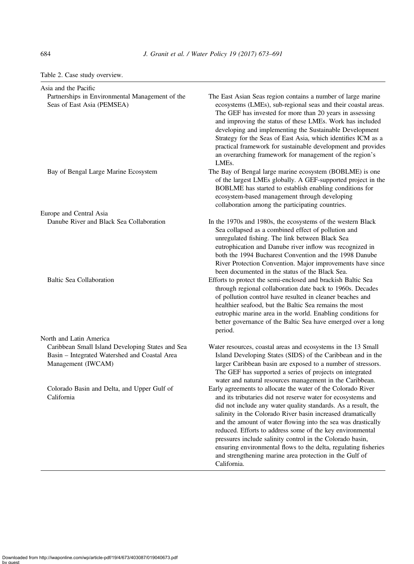## <span id="page-11-0"></span>Table 2. Case study overview.

| Asia and the Pacific                                                                                                    |                                                                                                                                                                                                                                                                                                                                                                                                                                                                                                                                                                                                     |
|-------------------------------------------------------------------------------------------------------------------------|-----------------------------------------------------------------------------------------------------------------------------------------------------------------------------------------------------------------------------------------------------------------------------------------------------------------------------------------------------------------------------------------------------------------------------------------------------------------------------------------------------------------------------------------------------------------------------------------------------|
| Partnerships in Environmental Management of the<br>Seas of East Asia (PEMSEA)                                           | The East Asian Seas region contains a number of large marine<br>ecosystems (LMEs), sub-regional seas and their coastal areas.<br>The GEF has invested for more than 20 years in assessing<br>and improving the status of these LMEs. Work has included<br>developing and implementing the Sustainable Development<br>Strategy for the Seas of East Asia, which identifies ICM as a<br>practical framework for sustainable development and provides<br>an overarching framework for management of the region's<br>LME <sub>s</sub> .                                                                 |
| Bay of Bengal Large Marine Ecosystem                                                                                    | The Bay of Bengal large marine ecosystem (BOBLME) is one<br>of the largest LMEs globally. A GEF-supported project in the<br><b>BOBLME</b> has started to establish enabling conditions for<br>ecosystem-based management through developing<br>collaboration among the participating countries.                                                                                                                                                                                                                                                                                                     |
| Europe and Central Asia                                                                                                 |                                                                                                                                                                                                                                                                                                                                                                                                                                                                                                                                                                                                     |
| Danube River and Black Sea Collaboration                                                                                | In the 1970s and 1980s, the ecosystems of the western Black<br>Sea collapsed as a combined effect of pollution and<br>unregulated fishing. The link between Black Sea<br>eutrophication and Danube river inflow was recognized in<br>both the 1994 Bucharest Convention and the 1998 Danube<br>River Protection Convention. Major improvements have since<br>been documented in the status of the Black Sea.                                                                                                                                                                                        |
| <b>Baltic Sea Collaboration</b>                                                                                         | Efforts to protect the semi-enclosed and brackish Baltic Sea<br>through regional collaboration date back to 1960s. Decades<br>of pollution control have resulted in cleaner beaches and<br>healthier seafood, but the Baltic Sea remains the most<br>eutrophic marine area in the world. Enabling conditions for<br>better governance of the Baltic Sea have emerged over a long<br>period.                                                                                                                                                                                                         |
| North and Latin America                                                                                                 |                                                                                                                                                                                                                                                                                                                                                                                                                                                                                                                                                                                                     |
| Caribbean Small Island Developing States and Sea<br>Basin - Integrated Watershed and Coastal Area<br>Management (IWCAM) | Water resources, coastal areas and ecosystems in the 13 Small<br>Island Developing States (SIDS) of the Caribbean and in the<br>larger Caribbean basin are exposed to a number of stressors.<br>The GEF has supported a series of projects on integrated<br>water and natural resources management in the Caribbean.                                                                                                                                                                                                                                                                                |
| Colorado Basin and Delta, and Upper Gulf of<br>California                                                               | Early agreements to allocate the water of the Colorado River<br>and its tributaries did not reserve water for ecosystems and<br>did not include any water quality standards. As a result, the<br>salinity in the Colorado River basin increased dramatically<br>and the amount of water flowing into the sea was drastically<br>reduced. Efforts to address some of the key environmental<br>pressures include salinity control in the Colorado basin,<br>ensuring environmental flows to the delta, regulating fisheries<br>and strengthening marine area protection in the Gulf of<br>California. |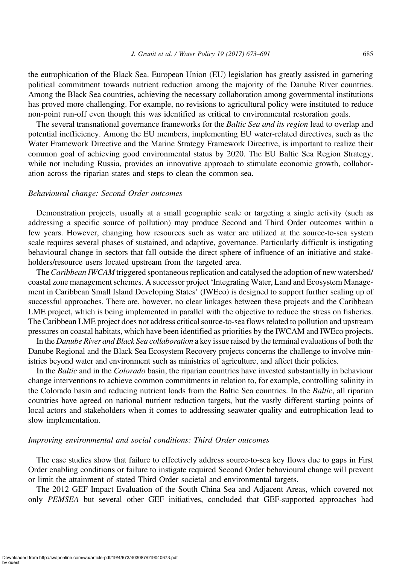the eutrophication of the Black Sea. European Union (EU) legislation has greatly assisted in garnering political commitment towards nutrient reduction among the majority of the Danube River countries. Among the Black Sea countries, achieving the necessary collaboration among governmental institutions has proved more challenging. For example, no revisions to agricultural policy were instituted to reduce non-point run-off even though this was identified as critical to environmental restoration goals.

The several transnational governance frameworks for the *Baltic Sea and its region* lead to overlap and potential inefficiency. Among the EU members, implementing EU water-related directives, such as the Water Framework Directive and the Marine Strategy Framework Directive, is important to realize their common goal of achieving good environmental status by 2020. The EU Baltic Sea Region Strategy, while not including Russia, provides an innovative approach to stimulate economic growth, collaboration across the riparian states and steps to clean the common sea.

## Behavioural change: Second Order outcomes

Demonstration projects, usually at a small geographic scale or targeting a single activity (such as addressing a specific source of pollution) may produce Second and Third Order outcomes within a few years. However, changing how resources such as water are utilized at the source-to-sea system scale requires several phases of sustained, and adaptive, governance. Particularly difficult is instigating behavioural change in sectors that fall outside the direct sphere of influence of an initiative and stakeholders/resource users located upstream from the targeted area.

The Caribbean IWCAM triggered spontaneous replication and catalysed the adoption of new watershed/ coastal zone management schemes. A successor project 'Integrating Water, Land and Ecosystem Management in Caribbean Small Island Developing States' (IWEco) is designed to support further scaling up of successful approaches. There are, however, no clear linkages between these projects and the Caribbean LME project, which is being implemented in parallel with the objective to reduce the stress on fisheries. The Caribbean LME project does not address critical source-to-sea flows related to pollution and upstream pressures on coastal habitats, which have been identified as priorities by the IWCAM and IWEco projects.

In the Danube River and Black Sea collaboration a key issue raised by the terminal evaluations of both the Danube Regional and the Black Sea Ecosystem Recovery projects concerns the challenge to involve ministries beyond water and environment such as ministries of agriculture, and affect their policies.

In the Baltic and in the Colorado basin, the riparian countries have invested substantially in behaviour change interventions to achieve common commitments in relation to, for example, controlling salinity in the Colorado basin and reducing nutrient loads from the Baltic Sea countries. In the Baltic, all riparian countries have agreed on national nutrient reduction targets, but the vastly different starting points of local actors and stakeholders when it comes to addressing seawater quality and eutrophication lead to slow implementation.

#### Improving environmental and social conditions: Third Order outcomes

The case studies show that failure to effectively address source-to-sea key flows due to gaps in First Order enabling conditions or failure to instigate required Second Order behavioural change will prevent or limit the attainment of stated Third Order societal and environmental targets.

The 2012 GEF Impact Evaluation of the South China Sea and Adjacent Areas, which covered not only PEMSEA but several other GEF initiatives, concluded that GEF-supported approaches had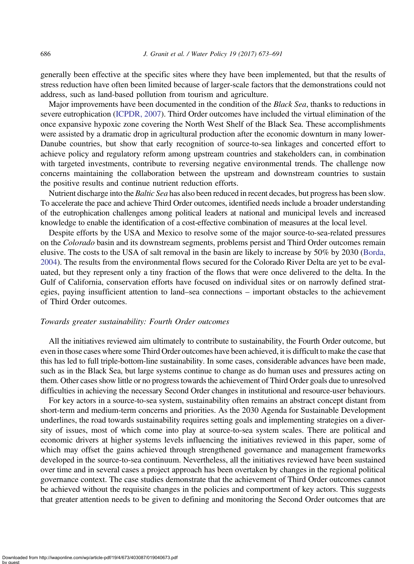generally been effective at the specific sites where they have been implemented, but that the results of stress reduction have often been limited because of larger-scale factors that the demonstrations could not address, such as land-based pollution from tourism and agriculture.

Major improvements have been documented in the condition of the *Black Sea*, thanks to reductions in severe eutrophication [\(ICPDR, 2007\)](#page-16-0). Third Order outcomes have included the virtual elimination of the once expansive hypoxic zone covering the North West Shelf of the Black Sea. These accomplishments were assisted by a dramatic drop in agricultural production after the economic downturn in many lower-Danube countries, but show that early recognition of source-to-sea linkages and concerted effort to achieve policy and regulatory reform among upstream countries and stakeholders can, in combination with targeted investments, contribute to reversing negative environmental trends. The challenge now concerns maintaining the collaboration between the upstream and downstream countries to sustain the positive results and continue nutrient reduction efforts.

Nutrient discharge into the *Baltic Sea* has also been reduced in recent decades, but progress has been slow. To accelerate the pace and achieve Third Order outcomes, identified needs include a broader understanding of the eutrophication challenges among political leaders at national and municipal levels and increased knowledge to enable the identification of a cost-effective combination of measures at the local level.

Despite efforts by the USA and Mexico to resolve some of the major source-to-sea-related pressures on the Colorado basin and its downstream segments, problems persist and Third Order outcomes remain elusive. The costs to the USA of salt removal in the basin are likely to increase by 50% by 2030 ([Borda,](#page-15-0) [2004](#page-15-0)). The results from the environmental flows secured for the Colorado River Delta are yet to be evaluated, but they represent only a tiny fraction of the flows that were once delivered to the delta. In the Gulf of California, conservation efforts have focused on individual sites or on narrowly defined strategies, paying insufficient attention to land–sea connections – important obstacles to the achievement of Third Order outcomes.

#### Towards greater sustainability: Fourth Order outcomes

All the initiatives reviewed aim ultimately to contribute to sustainability, the Fourth Order outcome, but even in those cases where some Third Order outcomes have been achieved, it is difficult to make the case that this has led to full triple-bottom-line sustainability. In some cases, considerable advances have been made, such as in the Black Sea, but large systems continue to change as do human uses and pressures acting on them. Other cases show little or no progress towards the achievement of Third Order goals due to unresolved difficulties in achieving the necessary Second Order changes in institutional and resource-user behaviours.

For key actors in a source-to-sea system, sustainability often remains an abstract concept distant from short-term and medium-term concerns and priorities. As the 2030 Agenda for Sustainable Development underlines, the road towards sustainability requires setting goals and implementing strategies on a diversity of issues, most of which come into play at source-to-sea system scales. There are political and economic drivers at higher systems levels influencing the initiatives reviewed in this paper, some of which may offset the gains achieved through strengthened governance and management frameworks developed in the source-to-sea continuum. Nevertheless, all the initiatives reviewed have been sustained over time and in several cases a project approach has been overtaken by changes in the regional political governance context. The case studies demonstrate that the achievement of Third Order outcomes cannot be achieved without the requisite changes in the policies and comportment of key actors. This suggests that greater attention needs to be given to defining and monitoring the Second Order outcomes that are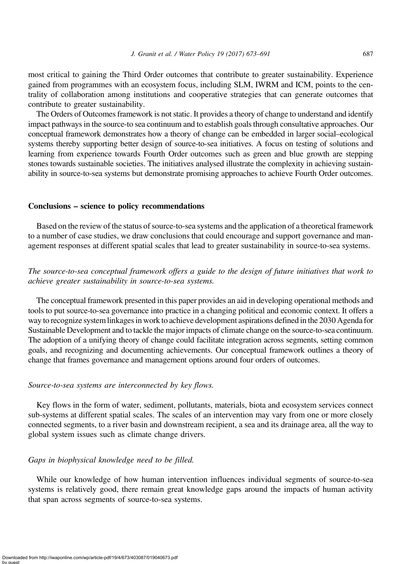most critical to gaining the Third Order outcomes that contribute to greater sustainability. Experience gained from programmes with an ecosystem focus, including SLM, IWRM and ICM, points to the centrality of collaboration among institutions and cooperative strategies that can generate outcomes that contribute to greater sustainability.

The Orders of Outcomes framework is not static. It provides a theory of change to understand and identify impact pathways in the source-to sea continuum and to establish goals through consultative approaches. Our conceptual framework demonstrates how a theory of change can be embedded in larger social–ecological systems thereby supporting better design of source-to-sea initiatives. A focus on testing of solutions and learning from experience towards Fourth Order outcomes such as green and blue growth are stepping stones towards sustainable societies. The initiatives analysed illustrate the complexity in achieving sustainability in source-to-sea systems but demonstrate promising approaches to achieve Fourth Order outcomes.

## Conclusions – science to policy recommendations

Based on the review of the status of source-to-sea systems and the application of a theoretical framework to a number of case studies, we draw conclusions that could encourage and support governance and management responses at different spatial scales that lead to greater sustainability in source-to-sea systems.

# The source-to-sea conceptual framework offers a guide to the design of future initiatives that work to achieve greater sustainability in source-to-sea systems.

The conceptual framework presented in this paper provides an aid in developing operational methods and tools to put source-to-sea governance into practice in a changing political and economic context. It offers a way to recognize system linkages in work to achieve development aspirations defined in the 2030 Agenda for Sustainable Development and to tackle the major impacts of climate change on the source-to-sea continuum. The adoption of a unifying theory of change could facilitate integration across segments, setting common goals, and recognizing and documenting achievements. Our conceptual framework outlines a theory of change that frames governance and management options around four orders of outcomes.

## Source-to-sea systems are interconnected by key flows.

Key flows in the form of water, sediment, pollutants, materials, biota and ecosystem services connect sub-systems at different spatial scales. The scales of an intervention may vary from one or more closely connected segments, to a river basin and downstream recipient, a sea and its drainage area, all the way to global system issues such as climate change drivers.

## Gaps in biophysical knowledge need to be filled.

While our knowledge of how human intervention influences individual segments of source-to-sea systems is relatively good, there remain great knowledge gaps around the impacts of human activity that span across segments of source-to-sea systems.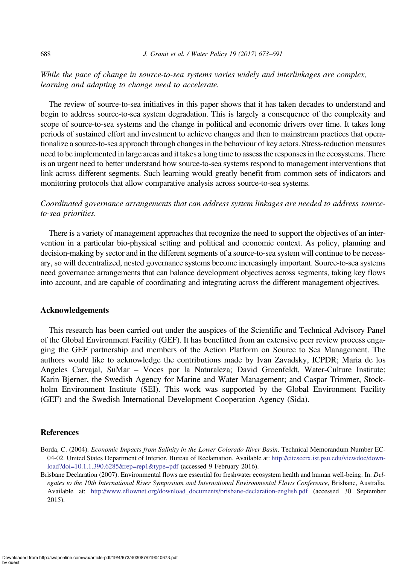# <span id="page-15-0"></span>While the pace of change in source-to-sea systems varies widely and interlinkages are complex, learning and adapting to change need to accelerate.

The review of source-to-sea initiatives in this paper shows that it has taken decades to understand and begin to address source-to-sea system degradation. This is largely a consequence of the complexity and scope of source-to-sea systems and the change in political and economic drivers over time. It takes long periods of sustained effort and investment to achieve changes and then to mainstream practices that operationalize a source-to-sea approach through changes in the behaviour of key actors. Stress-reduction measures need to be implemented in large areas and it takes a long time to assess the responses in the ecosystems. There is an urgent need to better understand how source-to-sea systems respond to management interventions that link across different segments. Such learning would greatly benefit from common sets of indicators and monitoring protocols that allow comparative analysis across source-to-sea systems.

## Coordinated governance arrangements that can address system linkages are needed to address sourceto-sea priorities.

There is a variety of management approaches that recognize the need to support the objectives of an intervention in a particular bio-physical setting and political and economic context. As policy, planning and decision-making by sector and in the different segments of a source-to-sea system will continue to be necessary, so will decentralized, nested governance systems become increasingly important. Source-to-sea systems need governance arrangements that can balance development objectives across segments, taking key flows into account, and are capable of coordinating and integrating across the different management objectives.

#### Acknowledgements

This research has been carried out under the auspices of the Scientific and Technical Advisory Panel of the Global Environment Facility (GEF). It has benefitted from an extensive peer review process engaging the GEF partnership and members of the Action Platform on Source to Sea Management. The authors would like to acknowledge the contributions made by Ivan Zavadsky, ICPDR; Maria de los Angeles Carvajal, SuMar – Voces por la Naturaleza; David Groenfeldt, Water-Culture Institute; Karin Bjerner, the Swedish Agency for Marine and Water Management; and Caspar Trimmer, Stockholm Environment Institute (SEI). This work was supported by the Global Environment Facility (GEF) and the Swedish International Development Cooperation Agency (Sida).

## **References**

- Borda, C. (2004). Economic Impacts from Salinity in the Lower Colorado River Basin. Technical Memorandum Number EC-04-02. United States Department of Interior, Bureau of Reclamation. Available at: [http://citeseerx.ist.psu.edu/viewdoc/down](http://citeseerx.ist.psu.edu/viewdoc/download?doi=10.1.1.390.6285&rep=rep1&type=pdf)[load?doi=10.1.1.390.6285&rep=rep1&type=pdf](http://citeseerx.ist.psu.edu/viewdoc/download?doi=10.1.1.390.6285&rep=rep1&type=pdf) (accessed 9 February 2016).
- Brisbane Declaration (2007). Environmental flows are essential for freshwater ecosystem health and human well-being. In: Delegates to the 10th International River Symposium and International Environmental Flows Conference, Brisbane, Australia. Available at: [http://www.eflownet.org/download\\_documents/brisbane-declaration-english.pdf](http://www.eflownet.org/download_documents/brisbane-declaration-english.pdf) (accessed 30 September 2015).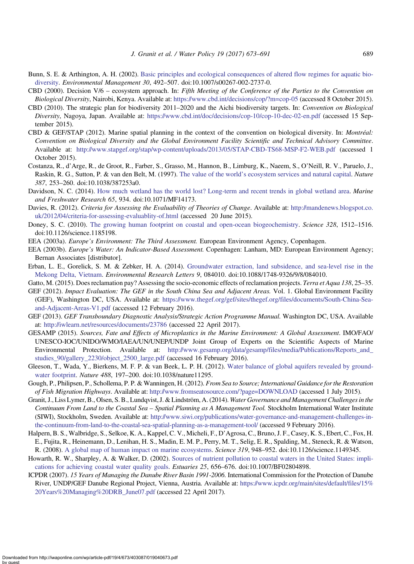- <span id="page-16-0"></span>Bunn, S. E. & Arthington, A. H. (2002). [Basic principles and ecological consequences of altered flow regimes for aquatic bio](http://dx.doi.org/10.1007/s00267-002-2737-0)[diversity.](http://dx.doi.org/10.1007/s00267-002-2737-0) Environmental Management 30, 492–507. doi:10.1007/s00267-002-2737-0.
- CBD (2000). Decision V/6 ecosystem approach. In: Fifth Meeting of the Conference of the Parties to the Convention on Biological Diversity, Nairobi, Kenya. Available at: <https://www.cbd.int/decisions/cop/?m=cop-05> (accessed 8 October 2015).
- CBD (2010). The strategic plan for biodiversity 2011–2020 and the Aichi biodiversity targets. In: Convention on Biological Diversity, Nagoya, Japan. Available at: <https://www.cbd.int/doc/decisions/cop-10/cop-10-dec-02-en.pdf> (accessed 15 September 2015).
- CBD & GEF/STAP (2012). Marine spatial planning in the context of the convention on biological diversity. In: Montréal: Convention on Biological Diversity and the Global Environment Facility Scientific and Technical Advisory Committee. Available at: <http://www.stapgef.org/stap/wp-content/uploads/2013/05/STAP-CBD-TS68-MSP-F2-WEB.pdf> (accessed 1 October 2015).
- Costanza, R., d'Arge, R., de Groot, R., Farber, S., Grasso, M., Hannon, B., Limburg, K., Naeem, S., O'Neill, R. V., Paruelo, J., Raskin, R. G., Sutton, P. & van den Belt, M. (1997). The value of the world'[s ecosystem services and natural capital.](http://dx.doi.org/10.1038/387253a0) Nature 387, 253–260. doi:10.1038/387253a0.
- Davidson, N. C. (2014). [How much wetland has the world lost? Long-term and recent trends in global wetland area.](http://dx.doi.org/10.1071/MF14173) Marine and Freshwater Research 65, 934. doi:10.1071/MF14173.
- Davies, R. (2012). Criteria for Assessing the Evaluability of Theories of Change. Available at: [http://mandenews.blogspot.co.](http://mandenews.blogspot.co.uk/2012/04/criteria-for-assessing-evaluablity-of.html) [uk/2012/04/criteria-for-assessing-evaluablity-of.html](http://mandenews.blogspot.co.uk/2012/04/criteria-for-assessing-evaluablity-of.html) (accessed 20 June 2015).
- Doney, S. C. (2010). [The growing human footprint on coastal and open-ocean biogeochemistry.](http://dx.doi.org/10.1126/science.1185198) Science 328, 1512–1516. doi:10.1126/science.1185198.

EEA (2003a). Europe's Environment: The Third Assessment. European Environment Agency, Copenhagen.

- EEA (2003b). Europe's Water: An Indicator-Based Assessment. Copenhagen: Lanham, MD: European Environment Agency; Bernan Associates [distributor].
- Erban, L. E., Gorelick, S. M. & Zebker, H. A. (2014). [Groundwater extraction, land subsidence, and sea-level rise in the](http://dx.doi.org/10.1088/1748-9326/9/8/084010) [Mekong Delta, Vietnam.](http://dx.doi.org/10.1088/1748-9326/9/8/084010) Environmental Research Letters 9, 084010. doi:10.1088/1748-9326/9/8/084010.

Gatto, M. (2015). Does reclamation pay? Assessing the socio-economic effects of reclamation projects. Terra et Aqua 138, 25–35.

- GEF (2012). Impact Evaluation: The GEF in the South China Sea and Adjacent Areas. Vol. 1. Global Environment Facility (GEF), Washington DC, USA. Available at: [https://www.thegef.org/gef/sites/thegef.org/files/documents/South-China-Sea](https://www.thegef.org/gef/sites/thegef.org/files/documents/South-China-Sea-and-Adjacent-Areas-V1.pdf)[and-Adjacent-Areas-V1.pdf](https://www.thegef.org/gef/sites/thegef.org/files/documents/South-China-Sea-and-Adjacent-Areas-V1.pdf) (accessed 12 February 2016).
- GEF (2013). GEF Transboundary Diagnostic Analysis/Strategic Action Programme Manual. Washington DC, USA. Available at: <http://iwlearn.net/resources/documents/23786> (accessed 22 April 2017).
- GESAMP (2015). Sources, Fate and Effects of Microplastics in the Marine Environment: A Global Assessment. IMO/FAO/ UNESCO-IOC/UNIDO/WMO/IAEA/UN/UNEP/UNDP Joint Group of Experts on the Scientific Aspects of Marine Environmental Protection. Available at: [http://www.gesamp.org/data/gesamp/files/media/Publications/Reports\\_and\\_](http://www.gesamp.org/data/gesamp/files/media/Publications/Reports_and_studies_90/gallery_2230/object_2500_large.pdf) [studies\\_90/gallery\\_2230/object\\_2500\\_large.pdf](http://www.gesamp.org/data/gesamp/files/media/Publications/Reports_and_studies_90/gallery_2230/object_2500_large.pdf) (accessed 16 February 2016).
- Gleeson, T., Wada, Y., Bierkens, M. F. P. & van Beek, L. P. H. (2012). [Water balance of global aquifers revealed by ground](http://dx.doi.org/10.1038/nature11295)[water footprint.](http://dx.doi.org/10.1038/nature11295) Nature 488, 197–200. doi:10.1038/nature11295.
- Gough, P., Philipsen, P., Schollema, P. P. & Wanningen, H. (2012). From Sea to Source; International Guidance for the Restoration of Fish Migration Highways. Available at: <http://www.fromseatosource.com/?page=DOWNLOAD> (accessed 1 July 2015).
- Granit, J., Liss Lymer, B., Olsen, S. B., Lundqvist, J. & Lindström, A. (2014). Water Governance and Management Challenges in the Continuum From Land to the Coastal Sea - Spatial Planning as A Management Tool. Stockholm International Water Institute (SIWI), Stockholm, Sweden. Available at: [http://www.siwi.org/publications/water-governance-and-management-challenges-in](http://www.siwi.org/publications/water-governance-and-management-challenges-in-the-continuum-from-land-to-the-coastal-sea-spatial-planning-as-a-management-tool/)[the-continuum-from-land-to-the-coastal-sea-spatial-planning-as-a-management-tool/](http://www.siwi.org/publications/water-governance-and-management-challenges-in-the-continuum-from-land-to-the-coastal-sea-spatial-planning-as-a-management-tool/) (accessed 9 February 2016).
- Halpern, B. S., Walbridge, S., Selkoe, K. A., Kappel, C. V., Micheli, F., D'Agrosa, C., Bruno, J. F., Casey, K. S., Ebert, C., Fox, H. E., Fujita, R., Heinemann, D., Lenihan, H. S., Madin, E. M. P., Perry, M. T., Selig, E. R., Spalding, M., Steneck, R. & Watson, R. (2008). [A global map of human impact on marine ecosystems](http://dx.doi.org/10.1126/science.1149345). Science 319, 948–952. doi:10.1126/science.1149345.
- Howarth, R. W., Sharpley, A. & Walker, D. (2002). [Sources of nutrient pollution to coastal waters in the United States: impli](http://dx.doi.org/10.1007/BF02804898)[cations for achieving coastal water quality goals](http://dx.doi.org/10.1007/BF02804898). Estuaries 25, 656–676. doi:10.1007/BF02804898.
- ICPDR (2007). 15 Years of Managing the Danube River Basin 1991-2006. International Commission for the Protection of Danube River, UNDP/GEF Danube Regional Project, Vienna, Austria. Available at: [https://www.icpdr.org/main/sites/default/files/15%](https://www.icpdr.org/main/sites/default/files/15%20Years%20Managing%20DRB_June07.pdf) [20Years%20Managing%20DRB\\_June07.pdf](https://www.icpdr.org/main/sites/default/files/15%20Years%20Managing%20DRB_June07.pdf) (accessed 22 April 2017).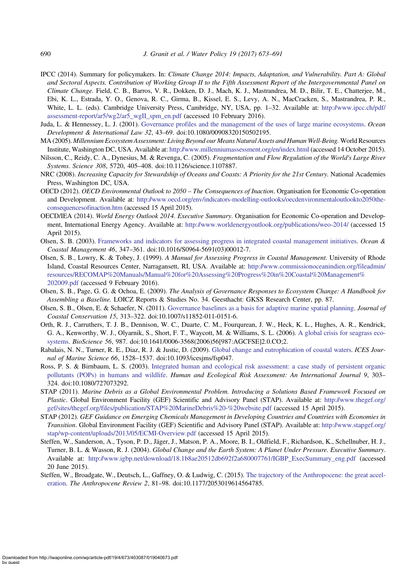- <span id="page-17-0"></span>IPCC (2014). Summary for policymakers. In: Climate Change 2014: Impacts, Adaptation, and Vulnerability. Part A: Global and Sectoral Aspects. Contribution of Working Group II to the Fifth Assessment Report of the Intergovernmental Panel on Climate Change. Field, C. B., Barros, V. R., Dokken, D. J., Mach, K. J., Mastrandrea, M. D., Bilir, T. E., Chatterjee, M., Ebi, K. L., Estrada, Y. O., Genova, R. C., Girma, B., Kissel, E. S., Levy, A. N., MacCracken, S., Mastrandrea, P. R., White, L. L. (eds). Cambridge University Press, Cambridge, NY, USA, pp. 1–32. Available at: [http://www.ipcc.ch/pdf/](http://www.ipcc.ch/pdf/assessment-report/ar5/wg2/ar5_wgII_spm_en.pdf) [assessment-report/ar5/wg2/ar5\\_wgII\\_spm\\_en.pdf](http://www.ipcc.ch/pdf/assessment-report/ar5/wg2/ar5_wgII_spm_en.pdf) (accessed 10 February 2016).
- Juda, L. & Hennessey, L. J. (2001). [Governance profiles and the management of the uses of large marine ecosystems.](http://dx.doi.org/10.1080/00908320150502195) Ocean Development & International Law 32, 43–69. doi:10.1080/00908320150502195.
- MA (2005). Millennium Ecosystem Assessment: Living Beyond our Means Natural Assets and Human Well-Being. World Resources Institute, Washington DC, USA. Available at: <http://www.millenniumassessment.org/en/index.html> (accessed 14 October 2015).
- Nilsson, C., Reidy, C. A., Dynesius, M. & Revenga, C. (2005). Fragmentation and Flow Regulation of the World's Large River Systems. Science 308, 5720, 405–408. doi:10.1126/science.1107887.
- NRC (2008). Increasing Capacity for Stewardship of Oceans and Coasts: A Priority for the 21st Century. National Academies Press, Washington DC, USA.
- OECD (2012). OECD Environmental Outlook to 2050 The Consequences of Inaction. Organisation for Economic Co-operation and Development. Available at: [http://www.oecd.org/env/indicators-modelling-outlooks/oecdenvironmentaloutlookto2050the](http://www.oecd.org/env/indicators-modelling-outlooks/oecdenvironmentaloutlookto2050theconsequencesofinaction.htm)[consequencesofinaction.htm](http://www.oecd.org/env/indicators-modelling-outlooks/oecdenvironmentaloutlookto2050theconsequencesofinaction.htm) (accessed 15 April 2015).
- OECD/IEA (2014). World Energy Outlook 2014. Executive Summary. Organisation for Economic Co-operation and Development, International Energy Agency. Available at: <http://www.worldenergyoutlook.org/publications/weo-2014/> (accessed 15 April 2015).
- Olsen, S. B. (2003). [Frameworks and indicators for assessing progress in integrated coastal management initiatives](http://dx.doi.org/10.1016/S0964-5691(03)00012-7). Ocean & Coastal Management 46, 347–361. doi:10.1016/S0964-5691(03)00012-7.
- Olsen, S. B., Lowry, K. & Tobey, J. (1999). A Manual for Assessing Progress in Coastal Management. University of Rhode Island, Coastal Resources Center, Narragansett, RI, USA. Available at: [http://www.commissionoceanindien.org/fileadmin/](http://www.commissionoceanindien.org/fileadmin/resources/RECOMAP%20Manuals/Manual%20for%20Assessing%20Progress%20in%20Coastal%20Management%202009.pdf) [resources/RECOMAP%20Manuals/Manual%20for%20Assessing%20Progress%20in%20Coastal%20Management%](http://www.commissionoceanindien.org/fileadmin/resources/RECOMAP%20Manuals/Manual%20for%20Assessing%20Progress%20in%20Coastal%20Management%202009.pdf) [202009.pdf](http://www.commissionoceanindien.org/fileadmin/resources/RECOMAP%20Manuals/Manual%20for%20Assessing%20Progress%20in%20Coastal%20Management%202009.pdf) (accessed 9 February 2016).
- Olsen, S. B., Page, G. G. & Ochoa, E. (2009). The Analysis of Governance Responses to Ecosystem Change: A Handbook for Assembling a Baseline. LOICZ Reports & Studies No. 34. Geesthacht: GKSS Research Center, pp. 87.
- Olsen, S. B., Olsen, E. & Schaefer, N. (2011). [Governance baselines as a basis for adaptive marine spatial planning.](http://dx.doi.org/10.1007/s11852-011-0151-6) Journal of Coastal Conservation 15, 313–322. doi:10.1007/s11852-011-0151-6.
- Orth, R. J., Carruthers, T. J. B., Dennison, W. C., Duarte, C. M., Fourqurean, J. W., Heck, K. L., Hughes, A. R., Kendrick, G. A., Kenworthy, W. J., Olyarnik, S., Short, F. T., Waycott, M. & Williams, S. L. (2006). [A global crisis for seagrass eco](http://dx.doi.org/10.1641/0006-3568(2006)56[987:AGCFSE]2.0.CO;2)[systems](http://dx.doi.org/10.1641/0006-3568(2006)56[987:AGCFSE]2.0.CO;2). BioScience 56, 987. doi:10.1641/0006-3568(2006)56[987:AGCFSE]2.0.CO;2.
- Rabalais, N. N., Turner, R. E., Diaz, R. J. & Justic, D. (2009). [Global change and eutrophication of coastal waters](http://dx.doi.org/10.1093/icesjms/fsp047). ICES Journal of Marine Science 66, 1528–1537. doi:10.1093/icesjms/fsp047.
- Ross, P. S. & Birnbaum, L. S. (2003). [Integrated human and ecological risk assessment: a case study of persistent organic](http://dx.doi.org/10.1080/727073292) [pollutants \(POPs\) in humans and wildlife](http://dx.doi.org/10.1080/727073292). Human and Ecological Risk Assessment: An International Journal 9, 303– 324. doi:10.1080/727073292.
- STAP (2011). Marine Debris as a Global Environmental Problem. Introducing a Solutions Based Framework Focused on Plastic. Global Environment Facility (GEF) Scientific and Advisory Panel (STAP). Available at: [http://www.thegef.org/](http://www.thegef.org/gef/sites/thegef.org/files/publication/STAP%20MarineDebris%20-%20website.pdf) [gef/sites/thegef.org/files/publication/STAP%20MarineDebris%20-%20website.pdf](http://www.thegef.org/gef/sites/thegef.org/files/publication/STAP%20MarineDebris%20-%20website.pdf) (accessed 15 April 2015).
- STAP (2012). GEF Guidance on Emerging Chemicals Management in Developing Countries and Countries with Economies in Transition. Global Environment Facility (GEF) Scientific and Advisory Panel (STAP). Available at: [http://www.stapgef.org/](http://www.stapgef.org/stap/wp-content/uploads/2013/05/ECMI-Overview.pdf) [stap/wp-content/uploads/2013/05/ECMI-Overview.pdf](http://www.stapgef.org/stap/wp-content/uploads/2013/05/ECMI-Overview.pdf) (accessed 15 April 2015).
- Steffen, W., Sanderson, A., Tyson, P. D., Jäger, J., Matson, P. A., Moore, B. I., Oldfield, F., Richardson, K., Schellnuber, H. J., Turner, B. L. & Wasson, R. J. (2004). Global Change and the Earth System: A Planet Under Pressure. Executive Summary. Available at: [http://www.igbp.net/download/18.1b8ae20512db692f2a680007761/IGBP\\_ExecSummary\\_eng.pdf](http://www.igbp.net/download/18.1b8ae20512db692f2a680007761/IGBP_ExecSummary_eng.pdf) (accessed 20 June 2015).
- Steffen, W., Broadgate, W., Deutsch, L., Gaffney, O. & Ludwig, C. (2015). [The trajectory of the Anthropocene: the great accel](http://dx.doi.org/10.1177/2053019614564785)[eration.](http://dx.doi.org/10.1177/2053019614564785) The Anthropocene Review 2, 81–98. doi:10.1177/2053019614564785.